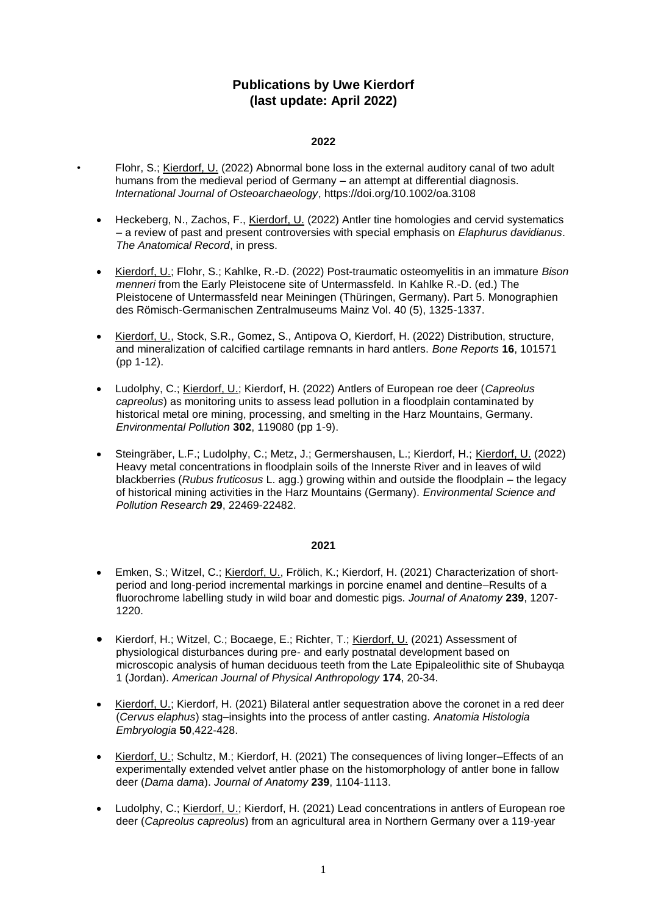# **Publications by Uwe Kierdorf (last update: April 2022)**

# **2022**

- Flohr, S.; Kierdorf, U. (2022) Abnormal bone loss in the external auditory canal of two adult humans from the medieval period of Germany – an attempt at differential diagnosis. *International Journal of Osteoarchaeology*,<https://doi.org/10.1002/oa.3108>
- Heckeberg, N., Zachos, F., Kierdorf, U. (2022) Antler tine homologies and cervid systematics – a review of past and present controversies with special emphasis on *Elaphurus davidianus*. *The Anatomical Record*, in press.
- Kierdorf, U.; Flohr, S.; Kahlke, R.-D. (2022) Post-traumatic osteomyelitis in an immature *Bison menneri* from the Early Pleistocene site of Untermassfeld. In Kahlke R.-D. (ed.) The Pleistocene of Untermassfeld near Meiningen (Thüringen, Germany). Part 5. Monographien des Römisch-Germanischen Zentralmuseums Mainz Vol. 40 (5), 1325-1337.
- Kierdorf, U., Stock, S.R., Gomez, S., Antipova O, Kierdorf, H. (2022) Distribution, structure, and mineralization of calcified cartilage remnants in hard antlers. *Bone Reports* **16**, 101571 (pp 1-12).
- Ludolphy, C.; Kierdorf, U.; Kierdorf, H. (2022) Antlers of European roe deer (*Capreolus capreolus*) as monitoring units to assess lead pollution in a floodplain contaminated by historical metal ore mining, processing, and smelting in the Harz Mountains, Germany. *Environmental Pollution* **302**, 119080 (pp 1-9).
- Steingräber, L.F.; Ludolphy, C.; Metz, J.; Germershausen, L.; Kierdorf, H.; Kierdorf, U. (2022) Heavy metal concentrations in floodplain soils of the Innerste River and in leaves of wild blackberries (*Rubus fruticosus* L. agg.) growing within and outside the floodplain – the legacy of historical mining activities in the Harz Mountains (Germany). *Environmental Science and Pollution Research* **29**, 22469-22482.

- Emken, S.; Witzel, C.; Kierdorf, U., Frölich, K.; Kierdorf, H. (2021) Characterization of shortperiod and long-period incremental markings in porcine enamel and dentine–Results of a fluorochrome labelling study in wild boar and domestic pigs. *Journal of Anatomy* **239**, 1207- 1220.
- Kierdorf, H.; Witzel, C.; Bocaege, E.; Richter, T.; Kierdorf, U. (2021) Assessment of physiological disturbances during pre- and early postnatal development based on microscopic analysis of human deciduous teeth from the Late Epipaleolithic site of Shubayqa 1 (Jordan). *American Journal of Physical Anthropology* **174**, 20-34.
- Kierdorf, U.; Kierdorf, H. (2021) Bilateral antler sequestration above the coronet in a red deer (*Cervus elaphus*) stag–insights into the process of antler casting. *Anatomia Histologia Embryologia* **50**,422-428.
- Kierdorf, U.; Schultz, M.; Kierdorf, H. (2021) The consequences of living longer–Effects of an experimentally extended velvet antler phase on the histomorphology of antler bone in fallow deer (*Dama dama*). *Journal of Anatomy* **239**, 1104-1113.
- Ludolphy, C.; Kierdorf, U.; Kierdorf, H. (2021) Lead concentrations in antlers of European roe deer (*Capreolus capreolus*) from an agricultural area in Northern Germany over a 119-year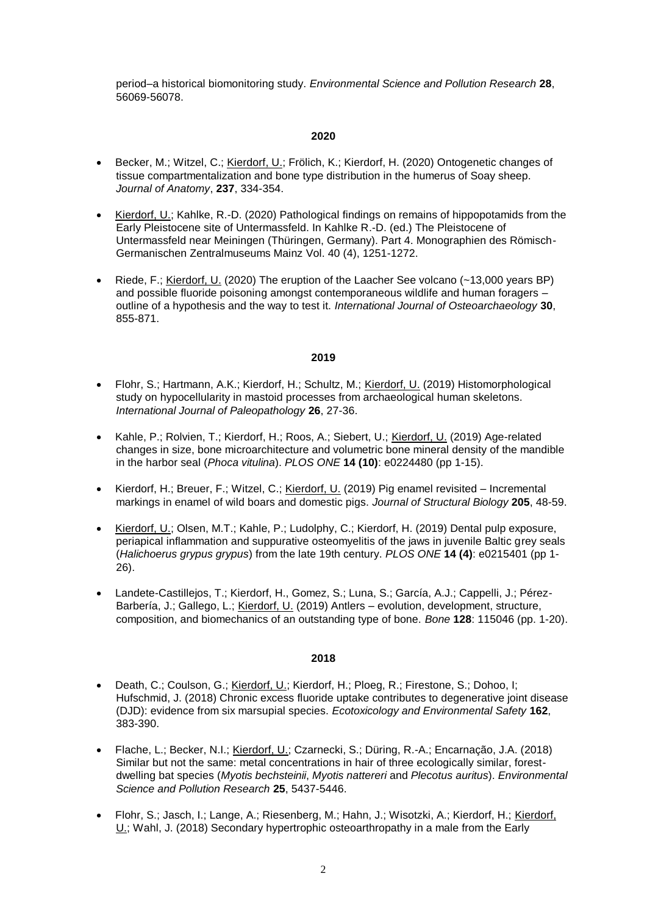period–a historical biomonitoring study. *Environmental Science and Pollution Research* **28**, 56069-56078.

# **2020**

- Becker, M.; Witzel, C.; Kierdorf, U.; Frölich, K.; Kierdorf, H. (2020) Ontogenetic changes of tissue compartmentalization and bone type distribution in the humerus of Soay sheep. *Journal of Anatomy*, **237**, 334-354.
- Kierdorf, U.; Kahlke, R.-D. (2020) Pathological findings on remains of hippopotamids from the Early Pleistocene site of Untermassfeld. In Kahlke R.-D. (ed.) The Pleistocene of Untermassfeld near Meiningen (Thüringen, Germany). Part 4. Monographien des Römisch-Germanischen Zentralmuseums Mainz Vol. 40 (4), 1251-1272.
- Riede, F.; Kierdorf, U. (2020) The eruption of the Laacher See volcano (~13,000 years BP) and possible fluoride poisoning amongst contemporaneous wildlife and human foragers – outline of a hypothesis and the way to test it. *International Journal of Osteoarchaeology* **30**, 855-871.

# **2019**

- Flohr, S.; Hartmann, A.K.; Kierdorf, H.; Schultz, M.; Kierdorf, U. (2019) Histomorphological study on hypocellularity in mastoid processes from archaeological human skeletons. *International Journal of Paleopathology* **26**, 27-36.
- Kahle, P.; Rolvien, T.; Kierdorf, H.; Roos, A.; Siebert, U.; Kierdorf, U. (2019) Age-related changes in size, bone microarchitecture and volumetric bone mineral density of the mandible in the harbor seal (*Phoca vitulina*). *PLOS ONE* **14 (10)**: e0224480 (pp 1-15).
- **Kierdorf, H.; Breuer, F.; Witzel, C.; Kierdorf, U. (2019) Pig enamel revisited Incremental** markings in enamel of wild boars and domestic pigs. *Journal of Structural Biology* **205**, 48-59.
- Kierdorf, U.; Olsen, M.T.; Kahle, P.; Ludolphy, C.; Kierdorf, H. (2019) Dental pulp exposure, periapical inflammation and suppurative osteomyelitis of the jaws in juvenile Baltic grey seals (*Halichoerus grypus grypus*) from the late 19th century. *PLOS ONE* **14 (4)**: e0215401 (pp 1- 26).
- Landete-Castillejos, T.; Kierdorf, H., Gomez, S.; Luna, S.; García, A.J.; Cappelli, J.; Pérez-Barbería, J.; Gallego, L.; Kierdorf, U. (2019) Antlers – evolution, development, structure, composition, and biomechanics of an outstanding type of bone. *Bone* **128**: 115046 (pp. 1-20).

- Death, C.; Coulson, G.; Kierdorf, U.; Kierdorf, H.; Ploeg, R.; Firestone, S.; Dohoo, I; Hufschmid, J. (2018) Chronic excess fluoride uptake contributes to degenerative joint disease (DJD): evidence from six marsupial species. *Ecotoxicology and Environmental Safety* **162**, 383-390.
- Flache, L.; Becker, N.I.; Kierdorf, U.; Czarnecki, S.; Düring, R.-A.; Encarnação, J.A. (2018) Similar but not the same: metal concentrations in hair of three ecologically similar, forestdwelling bat species (*Myotis bechsteinii*, *Myotis nattereri* and *Plecotus auritus*). *Environmental Science and Pollution Research* **25**, 5437-5446.
- Flohr, S.; Jasch, I.; Lange, A.; Riesenberg, M.; Hahn, J.; Wisotzki, A.; Kierdorf, H.; Kierdorf,  $U$ .; Wahl, J. (2018) Secondary hypertrophic osteoarthropathy in a male from the Early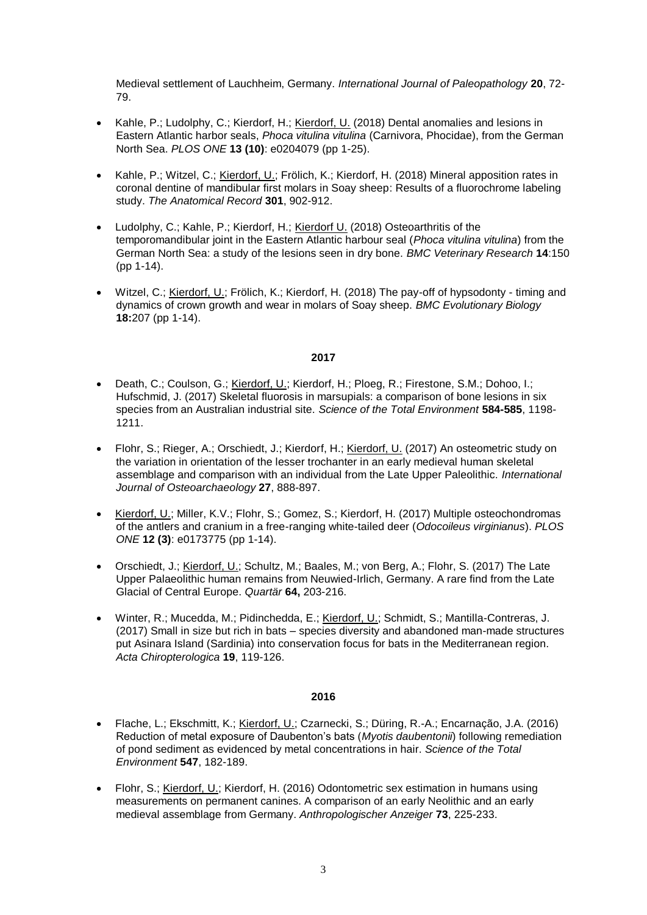Medieval settlement of Lauchheim, Germany. *International Journal of Paleopathology* **20**, 72- 79.

- Kahle, P.; Ludolphy, C.; Kierdorf, H.; Kierdorf, U. (2018) Dental anomalies and lesions in Eastern Atlantic harbor seals, *Phoca vitulina vitulina* (Carnivora, Phocidae), from the German North Sea. *PLOS ONE* **13 (10)**: e0204079 (pp 1-25).
- Kahle, P.; Witzel, C.; Kierdorf, U.; Frölich, K.; Kierdorf, H. (2018) Mineral apposition rates in coronal dentine of mandibular first molars in Soay sheep: Results of a fluorochrome labeling study. *The Anatomical Record* **301**, 902-912.
- Ludolphy, C.; Kahle, P.; Kierdorf, H.; Kierdorf U. (2018) Osteoarthritis of the temporomandibular joint in the Eastern Atlantic harbour seal (*Phoca vitulina vitulina*) from the German North Sea: a study of the lesions seen in dry bone. *BMC Veterinary Research* **14**:150 (pp 1-14).
- Witzel, C.; Kierdorf, U.; Frölich, K.; Kierdorf, H. (2018) The pay-off of hypsodonty timing and dynamics of crown growth and wear in molars of Soay sheep. *BMC Evolutionary Biology* **18:**207 (pp 1-14).

#### **2017**

- Death, C.; Coulson, G.; Kierdorf, U.; Kierdorf, H.; Ploeg, R.; Firestone, S.M.; Dohoo, I.; Hufschmid, J. (2017) Skeletal fluorosis in marsupials: a comparison of bone lesions in six species from an Australian industrial site. *Science of the Total Environment* **584-585**, 1198- 1211.
- Flohr, S.; Rieger, A.; Orschiedt, J.; Kierdorf, H.; Kierdorf, U. (2017) An osteometric study on the variation in orientation of the lesser trochanter in an early medieval human skeletal assemblage and comparison with an individual from the Late Upper Paleolithic. *International Journal of Osteoarchaeology* **27**, 888-897.
- Kierdorf, U.; Miller, K.V.; Flohr, S.; Gomez, S.; Kierdorf, H. (2017) Multiple osteochondromas of the antlers and cranium in a free-ranging white-tailed deer (*Odocoileus virginianus*). *PLOS ONE* **12 (3)**: e0173775 (pp 1-14).
- Orschiedt, J.; Kierdorf, U.; Schultz, M.; Baales, M.; von Berg, A.; Flohr, S. (2017) The Late Upper Palaeolithic human remains from Neuwied-Irlich, Germany. A rare find from the Late Glacial of Central Europe. *Quartär* **64,** 203-216.
- Winter, R.; Mucedda, M.; Pidinchedda, E.; Kierdorf, U.; Schmidt, S.; Mantilla-Contreras, J. (2017) Small in size but rich in bats – species diversity and abandoned man-made structures put Asinara Island (Sardinia) into conservation focus for bats in the Mediterranean region. *Acta Chiropterologica* **19**, 119-126.

- Flache, L.; Ekschmitt, K.; Kierdorf, U.; Czarnecki, S.; Düring, R.-A.; Encarnação, J.A. (2016) Reduction of metal exposure of Daubenton's bats (*Myotis daubentonii*) following remediation of pond sediment as evidenced by metal concentrations in hair. *Science of the Total Environment* **547**, 182-189.
- Flohr, S.; Kierdorf, U.; Kierdorf, H. (2016) Odontometric sex estimation in humans using measurements on permanent canines. A comparison of an early Neolithic and an early medieval assemblage from Germany. *Anthropologischer Anzeiger* **73**, 225-233.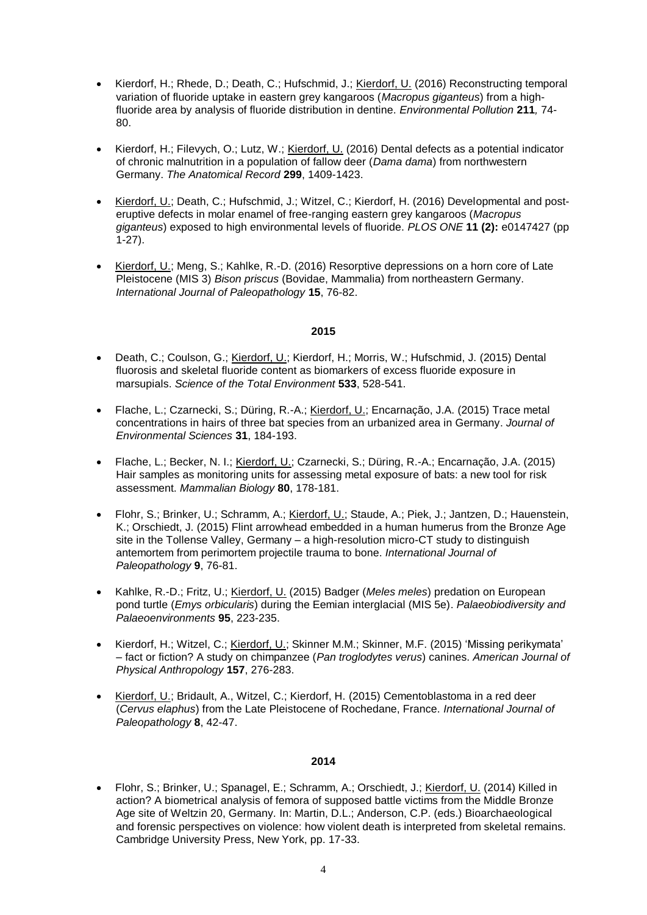- Kierdorf, H.; Rhede, D.; Death, C.; Hufschmid, J.; Kierdorf, U. (2016) Reconstructing temporal variation of fluoride uptake in eastern grey kangaroos (*Macropus giganteus*) from a highfluoride area by analysis of fluoride distribution in dentine. *Environmental Pollution* **211***,* 74- 80.
- Kierdorf, H.; Filevych, O.; Lutz, W.; Kierdorf, U. (2016) Dental defects as a potential indicator of chronic malnutrition in a population of fallow deer (*Dama dama*) from northwestern Germany. *The Anatomical Record* **299**, 1409-1423.
- Kierdorf, U.; Death, C.; Hufschmid, J.; Witzel, C.; Kierdorf, H. (2016) Developmental and posteruptive defects in molar enamel of free-ranging eastern grey kangaroos (*Macropus giganteus*) exposed to high environmental levels of fluoride. *PLOS ONE* **11 (2):** e0147427 (pp 1-27).
- Kierdorf, U.; Meng, S.; Kahlke, R.-D. (2016) Resorptive depressions on a horn core of Late Pleistocene (MIS 3) *Bison priscus* (Bovidae, Mammalia) from northeastern Germany. *International Journal of Paleopathology* **15**, 76-82.

- Death, C.; Coulson, G.; Kierdorf, U.; Kierdorf, H.; Morris, W.; Hufschmid, J. (2015) Dental fluorosis and skeletal fluoride content as biomarkers of excess fluoride exposure in marsupials. *Science of the Total Environment* **533**, 528-541.
- Flache, L.; Czarnecki, S.; Düring, R.-A.; Kierdorf, U.; Encarnação, J.A. (2015) Trace metal concentrations in hairs of three bat species from an urbanized area in Germany. *Journal of Environmental Sciences* **31**, 184-193.
- Flache, L.; Becker, N. I.; Kierdorf, U.; Czarnecki, S.; Düring, R.-A.; Encarnação, J.A. (2015) Hair samples as monitoring units for assessing metal exposure of bats: a new tool for risk assessment. *Mammalian Biology* **80**, 178-181.
- Flohr, S.; Brinker, U.; Schramm, A.; Kierdorf, U.; Staude, A.; Piek, J.; Jantzen, D.; Hauenstein, K.; Orschiedt, J. (2015) Flint arrowhead embedded in a human humerus from the Bronze Age site in the Tollense Valley, Germany – a high-resolution micro-CT study to distinguish antemortem from perimortem projectile trauma to bone. *International Journal of Paleopathology* **9**, 76-81.
- Kahlke, R.-D.; Fritz, U.; Kierdorf, U. (2015) Badger (*Meles meles*) predation on European pond turtle (*Emys orbicularis*) during the Eemian interglacial (MIS 5e). *Palaeobiodiversity and Palaeoenvironments* **95**, 223-235.
- Kierdorf, H.; Witzel, C.; Kierdorf, U.; Skinner M.M.; Skinner, M.F. (2015) 'Missing perikymata' – fact or fiction? A study on chimpanzee (*Pan troglodytes verus*) canines. *American Journal of Physical Anthropology* **157**, 276-283.
- Kierdorf, U.; Bridault, A., Witzel, C.; Kierdorf, H. (2015) Cementoblastoma in a red deer (*Cervus elaphus*) from the Late Pleistocene of Rochedane, France. *International Journal of Paleopathology* **8**, 42-47.

#### **2014**

• Flohr, S.; Brinker, U.; Spanagel, E.; Schramm, A.; Orschiedt, J.; Kierdorf, U. (2014) Killed in action? A biometrical analysis of femora of supposed battle victims from the Middle Bronze Age site of Weltzin 20, Germany. In: Martin, D.L.; Anderson, C.P. (eds.) Bioarchaeological and forensic perspectives on violence: how violent death is interpreted from skeletal remains. Cambridge University Press, New York, pp. 17-33.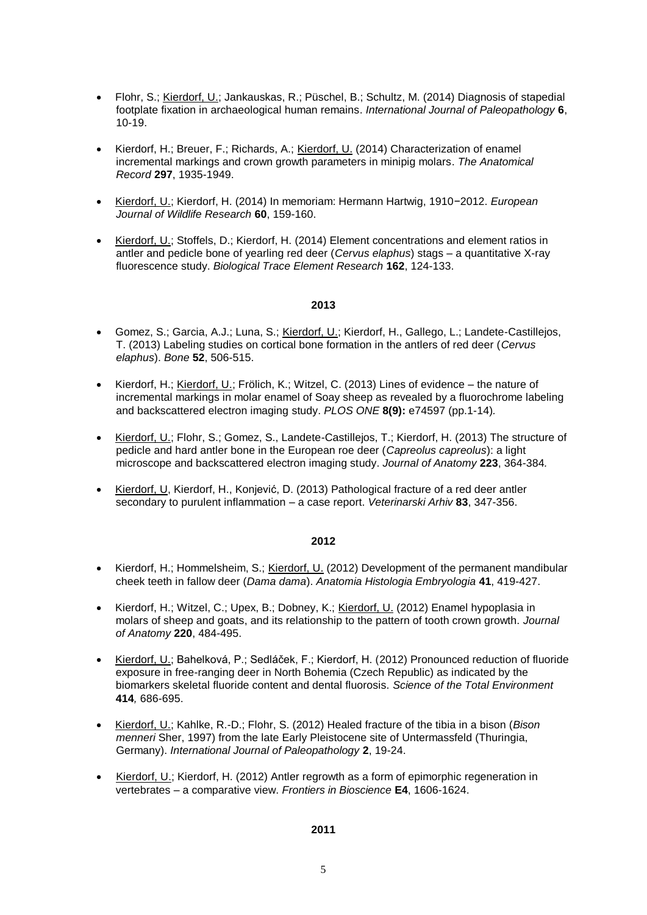- Flohr, S.; Kierdorf, U.; Jankauskas, R.; Püschel, B.; Schultz, M. (2014) Diagnosis of stapedial footplate fixation in archaeological human remains. *International Journal of Paleopathology* **6**, 10-19.
- Kierdorf, H.; Breuer, F.; Richards, A.; Kierdorf, U. (2014) Characterization of enamel incremental markings and crown growth parameters in minipig molars. *The Anatomical Record* **297**, 1935-1949.
- Kierdorf, U.; Kierdorf, H. (2014) In memoriam: Hermann Hartwig, 1910−2012. *European Journal of Wildlife Research* **60**, 159-160.
- Kierdorf, U.; Stoffels, D.; Kierdorf, H. (2014) Element concentrations and element ratios in antler and pedicle bone of yearling red deer (*Cervus elaphus*) stags – a quantitative X-ray fluorescence study. *Biological Trace Element Research* **162**, 124-133.

- Gomez, S.; Garcia, A.J.; Luna, S.; Kierdorf, U.; Kierdorf, H., Gallego, L.; Landete-Castillejos, T. (2013) Labeling studies on cortical bone formation in the antlers of red deer (*Cervus elaphus*). *Bone* **52**, 506-515.
- Kierdorf, H.; Kierdorf, U.; Frölich, K.; Witzel, C. (2013) Lines of evidence the nature of incremental markings in molar enamel of Soay sheep as revealed by a fluorochrome labeling and backscattered electron imaging study. *PLOS ONE* **8(9):** e74597 (pp.1-14)*.*
- Kierdorf, U.; Flohr, S.; Gomez, S., Landete-Castillejos, T.; Kierdorf, H. (2013) The structure of pedicle and hard antler bone in the European roe deer (*Capreolus capreolus*): a light microscope and backscattered electron imaging study. *Journal of Anatomy* **223**, 364-384*.*
- Kierdorf, U, Kierdorf, H., Konjević, D. (2013) Pathological fracture of a red deer antler secondary to purulent inflammation – a case report. *Veterinarski Arhiv* **83**, 347-356.

### **2012**

- Kierdorf, H.; Hommelsheim, S.; Kierdorf, U. (2012) Development of the permanent mandibular cheek teeth in fallow deer (*Dama dama*). *Anatomia Histologia Embryologia* **41**, 419-427.
- Kierdorf, H.; Witzel, C.; Upex, B.; Dobney, K.; Kierdorf, U. (2012) Enamel hypoplasia in molars of sheep and goats, and its relationship to the pattern of tooth crown growth. *Journal of Anatomy* **220**, 484-495.
- Kierdorf, U.; Bahelková, P.; Sedláček, F.; Kierdorf, H. (2012) Pronounced reduction of fluoride exposure in free-ranging deer in North Bohemia (Czech Republic) as indicated by the biomarkers skeletal fluoride content and dental fluorosis. *Science of the Total Environment* **414***,* 686-695.
- Kierdorf, U.; Kahlke, R.-D.; Flohr, S. (2012) Healed fracture of the tibia in a bison (*Bison menneri* Sher, 1997) from the late Early Pleistocene site of Untermassfeld (Thuringia, Germany). *International Journal of Paleopathology* **2**, 19-24.
- Kierdorf, U.; Kierdorf, H. (2012) Antler regrowth as a form of epimorphic regeneration in vertebrates – a comparative view. *Frontiers in Bioscience* **E4**, 1606-1624.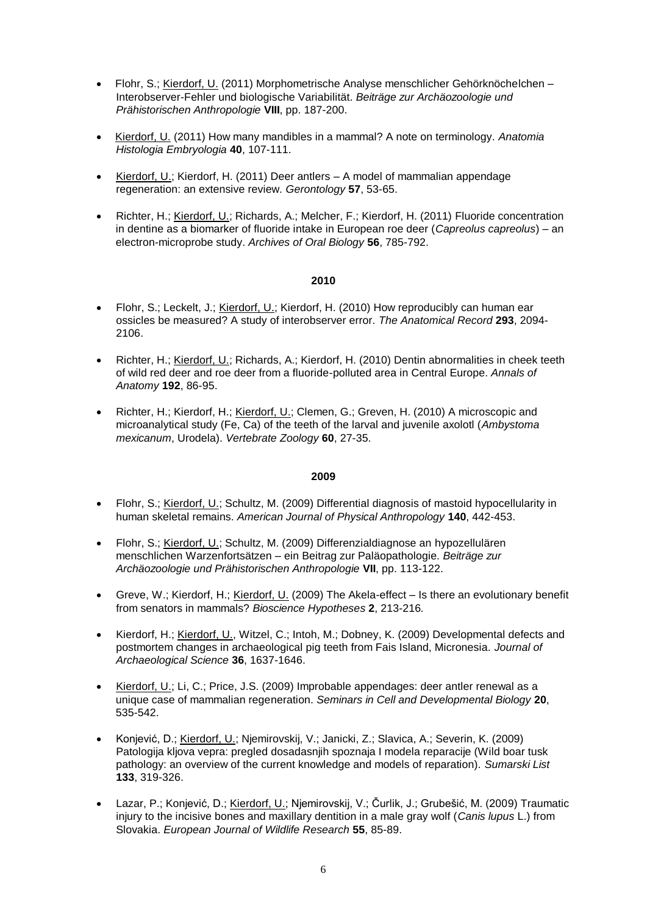- Flohr, S.; Kierdorf, U. (2011) Morphometrische Analyse menschlicher Gehörknöchelchen Interobserver-Fehler und biologische Variabilität. *Beiträge zur Archäozoologie und Prähistorischen Anthropologie* **VIII**, pp. 187-200.
- Kierdorf, U. (2011) How many mandibles in a mammal? A note on terminology. *Anatomia Histologia Embryologia* **40**, 107-111.
- Kierdorf, U.; Kierdorf, H. (2011) Deer antlers A model of mammalian appendage regeneration: an extensive review. *Gerontology* **57**, 53-65.
- Richter, H.; Kierdorf, U.; Richards, A.; Melcher, F.; Kierdorf, H. (2011) Fluoride concentration in dentine as a biomarker of fluoride intake in European roe deer (*Capreolus capreolus*) – an electron-microprobe study. *Archives of Oral Biology* **56**, 785-792.

- Flohr, S.; Leckelt, J.; Kierdorf, U.; Kierdorf, H. (2010) How reproducibly can human ear ossicles be measured? A study of interobserver error. *The Anatomical Record* **293**, 2094- 2106.
- Richter, H.; Kierdorf, U.; Richards, A.; Kierdorf, H. (2010) Dentin abnormalities in cheek teeth of wild red deer and roe deer from a fluoride-polluted area in Central Europe. *Annals of Anatomy* **192**, 86-95.
- Richter, H.; Kierdorf, H.; Kierdorf, U.; Clemen, G.; Greven, H. (2010) A microscopic and microanalytical study (Fe, Ca) of the teeth of the larval and juvenile axolotl (*Ambystoma mexicanum*, Urodela). *Vertebrate Zoology* **60**, 27-35.

- Flohr, S.; Kierdorf, U.; Schultz, M. (2009) Differential diagnosis of mastoid hypocellularity in human skeletal remains. *American Journal of Physical Anthropology* **140**, 442-453.
- Flohr, S.; Kierdorf, U.; Schultz, M. (2009) Differenzialdiagnose an hypozellulären menschlichen Warzenfortsätzen – ein Beitrag zur Paläopathologie. *Beiträge zur Archäozoologie und Prähistorischen Anthropologie* **VII**, pp. 113-122.
- Greve, W.; Kierdorf, H.; Kierdorf, U. (2009) The Akela-effect Is there an evolutionary benefit from senators in mammals? *Bioscience Hypotheses* **2**, 213-216*.*
- Kierdorf, H.; Kierdorf, U., Witzel, C.; Intoh, M.; Dobney, K. (2009) Developmental defects and postmortem changes in archaeological pig teeth from Fais Island, Micronesia. *Journal of Archaeological Science* **36**, 1637-1646.
- Kierdorf, U.; Li, C.; Price, J.S. (2009) Improbable appendages: deer antler renewal as a unique case of mammalian regeneration. *Seminars in Cell and Developmental Biology* **20**, 535-542.
- Konjević, D.; Kierdorf, U.; Njemirovskij, V.; Janicki, Z.; Slavica, A.; Severin, K. (2009) Patologija kljova vepra: pregled dosadasnjih spoznaja I modela reparacije (Wild boar tusk pathology: an overview of the current knowledge and models of reparation). *Sumarski List*  **133**, 319-326.
- Lazar, P.; Konjević, D.; Kierdorf, U.; Njemirovskij, V.; Čurlik, J.; Grubešić, M. (2009) Traumatic injury to the incisive bones and maxillary dentition in a male gray wolf (*Canis lupus* L.) from Slovakia. *European Journal of Wildlife Research* **55**, 85-89.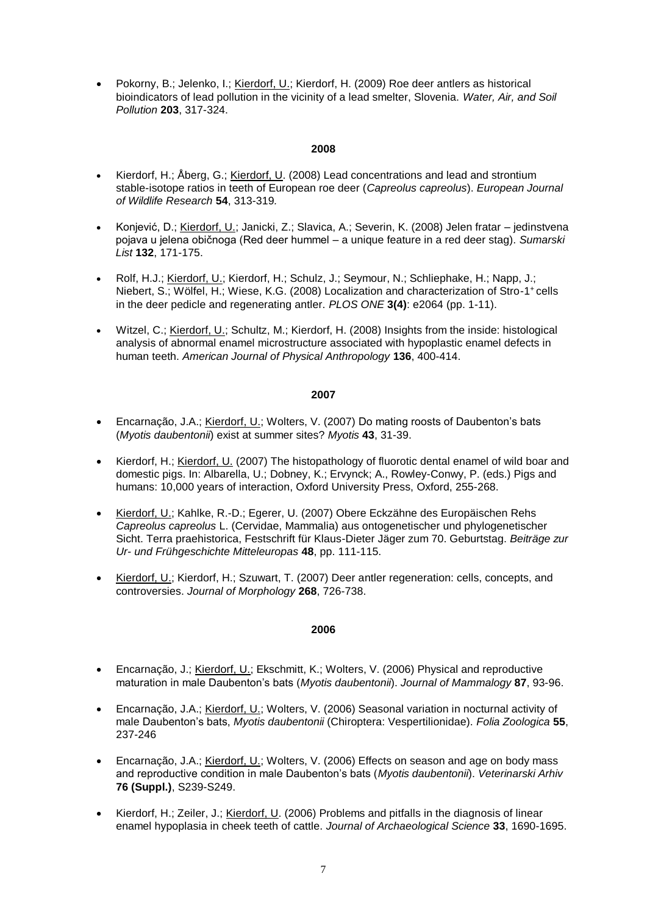Pokorny, B.; Jelenko, I.; Kierdorf, U.; Kierdorf, H. (2009) Roe deer antlers as historical bioindicators of lead pollution in the vicinity of a lead smelter, Slovenia. *Water, Air, and Soil Pollution* **203**, 317-324.

# **2008**

- Kierdorf, H.; Åberg, G.; Kierdorf, U. (2008) Lead concentrations and lead and strontium stable-isotope ratios in teeth of European roe deer (*Capreolus capreolus*). *European Journal of Wildlife Research* **54**, 313-319*.*
- Konjević, D.; Kierdorf, U.; Janicki, Z.; Slavica, A.; Severin, K. (2008) Jelen fratar jedinstvena pojava u jelena običnoga (Red deer hummel – a unique feature in a red deer stag). *Sumarski List* **132**, 171-175.
- Rolf, H.J.; Kierdorf, U.; Kierdorf, H.; Schulz, J.; Seymour, N.; Schliephake, H.; Napp, J.; Niebert, S.; Wölfel, H.; Wiese, K.G. (2008) Localization and characterization of Stro-1<sup>+</sup> cells in the deer pedicle and regenerating antler. *PLOS ONE* **3(4)**: e2064 (pp. 1-11).
- Witzel, C.; Kierdorf, U.; Schultz, M.; Kierdorf, H. (2008) Insights from the inside: histological analysis of abnormal enamel microstructure associated with hypoplastic enamel defects in human teeth. *American Journal of Physical Anthropology* **136**, 400-414.

#### **2007**

- Encarnação, J.A.; Kierdorf, U.; Wolters, V. (2007) Do mating roosts of Daubenton's bats (*Myotis daubentonii*) exist at summer sites? *Myotis* **43**, 31-39.
- Kierdorf, H.; Kierdorf, U. (2007) The histopathology of fluorotic dental enamel of wild boar and domestic pigs. In: Albarella, U.; Dobney, K.; Ervynck; A., Rowley-Conwy, P. (eds.) Pigs and humans: 10,000 years of interaction, Oxford University Press, Oxford, 255-268.
- Kierdorf, U.; Kahlke, R.-D.; Egerer, U. (2007) Obere Eckzähne des Europäischen Rehs *Capreolus capreolus* L. (Cervidae, Mammalia) aus ontogenetischer und phylogenetischer Sicht. Terra praehistorica, Festschrift für Klaus-Dieter Jäger zum 70. Geburtstag. *Beiträge zur Ur- und Frühgeschichte Mitteleuropas* **48**, pp. 111-115.
- Kierdorf, U.; Kierdorf, H.; Szuwart, T. (2007) Deer antler regeneration: cells, concepts, and controversies. *Journal of Morphology* **268**, 726-738.

- Encarnação, J.; Kierdorf, U.; Ekschmitt, K.; Wolters, V. (2006) Physical and reproductive maturation in male Daubenton's bats (*Myotis daubentonii*). *Journal of Mammalogy* **87**, 93-96.
- Encarnação, J.A.; Kierdorf, U.; Wolters, V. (2006) Seasonal variation in nocturnal activity of male Daubenton's bats, *Myotis daubentonii* (Chiroptera: Vespertilionidae). *Folia Zoologica* **55**, 237-246
- Encarnação, J.A.; Kierdorf, U.; Wolters, V. (2006) Effects on season and age on body mass and reproductive condition in male Daubenton's bats (*Myotis daubentonii*). *Veterinarski Arhiv*  **76 (Suppl.)**, S239-S249.
- Kierdorf, H.; Zeiler, J.; Kierdorf, U. (2006) Problems and pitfalls in the diagnosis of linear enamel hypoplasia in cheek teeth of cattle. *Journal of Archaeological Science* **33**, 1690-1695.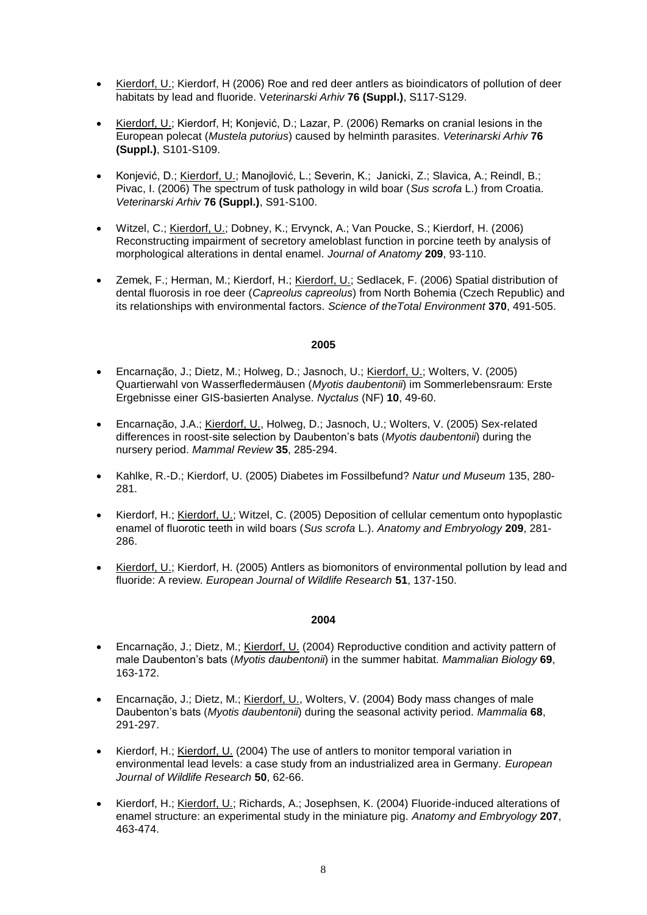- Kierdorf, U.; Kierdorf, H (2006) Roe and red deer antlers as bioindicators of pollution of deer habitats by lead and fluoride. V*eterinarski Arhiv* **76 (Suppl.)**, S117-S129.
- Kierdorf, U.; Kierdorf, H; Konjević, D.; Lazar, P. (2006) Remarks on cranial lesions in the European polecat (*Mustela putorius*) caused by helminth parasites. *Veterinarski Arhiv* **76 (Suppl.)**, S101-S109.
- Konjević, D.; Kierdorf, U.; Manojlović, L.; Severin, K.; Janicki, Z.; Slavica, A.; Reindl, B.; Pivac, I. (2006) The spectrum of tusk pathology in wild boar (*Sus scrofa* L.) from Croatia. *Veterinarski Arhiv* **76 (Suppl.)**, S91-S100.
- Witzel, C.; Kierdorf, U.; Dobney, K.; Ervynck, A.; Van Poucke, S.; Kierdorf, H. (2006) Reconstructing impairment of secretory ameloblast function in porcine teeth by analysis of morphological alterations in dental enamel. *Journal of Anatomy* **209**, 93-110.
- Zemek, F.; Herman, M.; Kierdorf, H.; Kierdorf, U.; Sedlacek, F. (2006) Spatial distribution of dental fluorosis in roe deer (*Capreolus capreolus*) from North Bohemia (Czech Republic) and its relationships with environmental factors. *Science of theTotal Environment* **370**, 491-505.

- Encarnação, J.; Dietz, M.; Holweg, D.; Jasnoch, U.; Kierdorf, U.; Wolters, V. (2005) Quartierwahl von Wasserfledermäusen (*Myotis daubentonii*) im Sommerlebensraum: Erste Ergebnisse einer GIS-basierten Analyse. *Nyctalus* (NF) **10**, 49-60.
- Encarnação, J.A.; Kierdorf, U., Holweg, D.; Jasnoch, U.; Wolters, V. (2005) Sex-related differences in roost-site selection by Daubenton's bats (*Myotis daubentonii*) during the nursery period. *Mammal Review* **35**, 285-294.
- Kahlke, R.-D.; Kierdorf, U. (2005) Diabetes im Fossilbefund? *Natur und Museum* 135, 280- 281.
- Kierdorf, H.; Kierdorf, U.; Witzel, C. (2005) Deposition of cellular cementum onto hypoplastic enamel of fluorotic teeth in wild boars (*Sus scrofa* L.). *Anatomy and Embryology* **209**, 281- 286.
- Kierdorf, U.; Kierdorf, H. (2005) Antlers as biomonitors of environmental pollution by lead and fluoride: A review. *European Journal of Wildlife Research* **51**, 137-150.

- Encarnação, J.; Dietz, M.; Kierdorf, U. (2004) Reproductive condition and activity pattern of male Daubenton's bats (*Myotis daubentonii*) in the summer habitat. *Mammalian Biology* **69**, 163-172.
- Encarnação, J.; Dietz, M.; Kierdorf, U., Wolters, V. (2004) Body mass changes of male Daubenton's bats (*Myotis daubentonii*) during the seasonal activity period. *Mammalia* **68**, 291-297.
- Kierdorf, H.; Kierdorf, U. (2004) The use of antlers to monitor temporal variation in environmental lead levels: a case study from an industrialized area in Germany. *European Journal of Wildlife Research* **50**, 62-66.
- Kierdorf, H.; Kierdorf, U.; Richards, A.; Josephsen, K. (2004) Fluoride-induced alterations of enamel structure: an experimental study in the miniature pig. *Anatomy and Embryology* **207**, 463-474.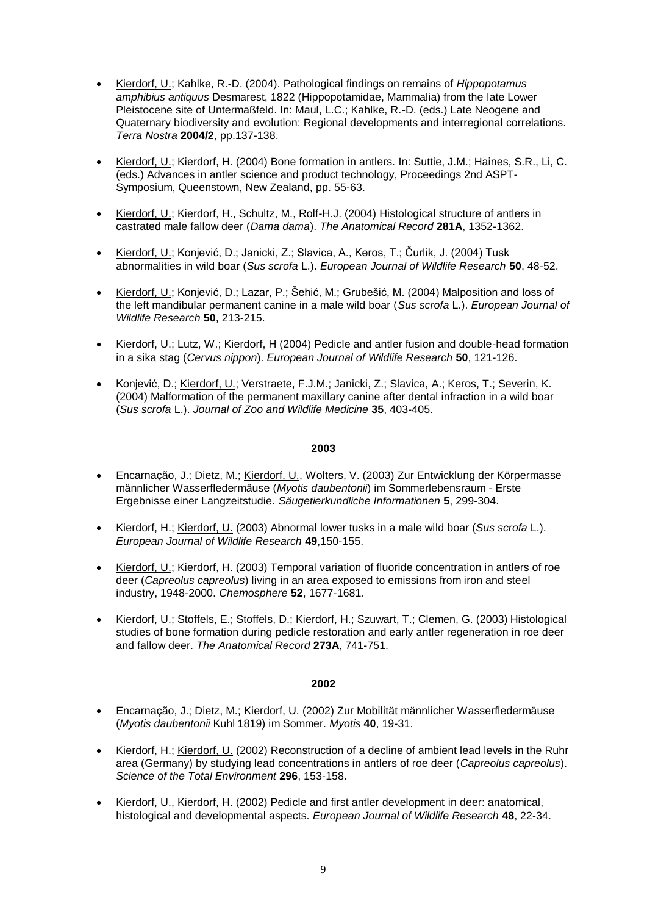- Kierdorf, U.; Kahlke, R.-D. (2004). Pathological findings on remains of *Hippopotamus amphibius antiquus* Desmarest, 1822 (Hippopotamidae, Mammalia) from the late Lower Pleistocene site of Untermaßfeld. In: Maul, L.C.; Kahlke, R.-D. (eds.) Late Neogene and Quaternary biodiversity and evolution: Regional developments and interregional correlations. *Terra Nostra* **2004/2**, pp.137-138.
- Kierdorf, U.; Kierdorf, H. (2004) Bone formation in antlers. In: Suttie, J.M.; Haines, S.R., Li, C. (eds.) Advances in antler science and product technology, Proceedings 2nd ASPT-Symposium, Queenstown, New Zealand, pp. 55-63.
- Kierdorf, U.; Kierdorf, H., Schultz, M., Rolf-H.J. (2004) Histological structure of antlers in castrated male fallow deer (*Dama dama*). *The Anatomical Record* **281A**, 1352-1362.
- Kierdorf, U.; Konjević, D.; Janicki, Z.; Slavica, A., Keros, T.; Čurlik, J. (2004) Tusk abnormalities in wild boar (*Sus scrofa* L.). *European Journal of Wildlife Research* **50**, 48-52.
- Kierdorf, U.; Konjević, D.; Lazar, P.; Šehić, M.; Grubešić, M. (2004) Malposition and loss of the left mandibular permanent canine in a male wild boar (*Sus scrofa* L.). *European Journal of Wildlife Research* **50**, 213-215.
- Kierdorf, U.; Lutz, W.; Kierdorf, H (2004) Pedicle and antler fusion and double-head formation in a sika stag (*Cervus nippon*). *European Journal of Wildlife Research* **50**, 121-126.
- Konjević, D.; Kierdorf, U.; Verstraete, F.J.M.; Janicki, Z.; Slavica, A.; Keros, T.; Severin, K. (2004) Malformation of the permanent maxillary canine after dental infraction in a wild boar (*Sus scrofa* L.). *Journal of Zoo and Wildlife Medicine* **35**, 403-405.

- Encarnação, J.; Dietz, M.; Kierdorf, U., Wolters, V. (2003) Zur Entwicklung der Körpermasse männlicher Wasserfledermäuse (*Myotis daubentonii*) im Sommerlebensraum - Erste Ergebnisse einer Langzeitstudie. *Säugetierkundliche Informationen* **5**, 299-304.
- Kierdorf, H.; Kierdorf, U. (2003) Abnormal lower tusks in a male wild boar (*Sus scrofa* L.). *European Journal of Wildlife Research* **49**,150-155.
- Kierdorf, U.; Kierdorf, H. (2003) Temporal variation of fluoride concentration in antlers of roe deer (*Capreolus capreolus*) living in an area exposed to emissions from iron and steel industry, 1948-2000. *Chemosphere* **52**, 1677-1681.
- Kierdorf, U.; Stoffels, E.; Stoffels, D.; Kierdorf, H.; Szuwart, T.; Clemen, G. (2003) Histological studies of bone formation during pedicle restoration and early antler regeneration in roe deer and fallow deer. *The Anatomical Record* **273A**, 741-751.

- Encarnação, J.; Dietz, M.; Kierdorf, U. (2002) Zur Mobilität männlicher Wasserfledermäuse (*Myotis daubentonii* Kuhl 1819) im Sommer. *Myotis* **40**, 19-31.
- Kierdorf, H.; Kierdorf, U. (2002) Reconstruction of a decline of ambient lead levels in the Ruhr area (Germany) by studying lead concentrations in antlers of roe deer (*Capreolus capreolus*). *Science of the Total Environment* **296**, 153-158.
- Kierdorf, U., Kierdorf, H. (2002) Pedicle and first antler development in deer: anatomical, histological and developmental aspects. *European Journal of Wildlife Research* **48**, 22-34.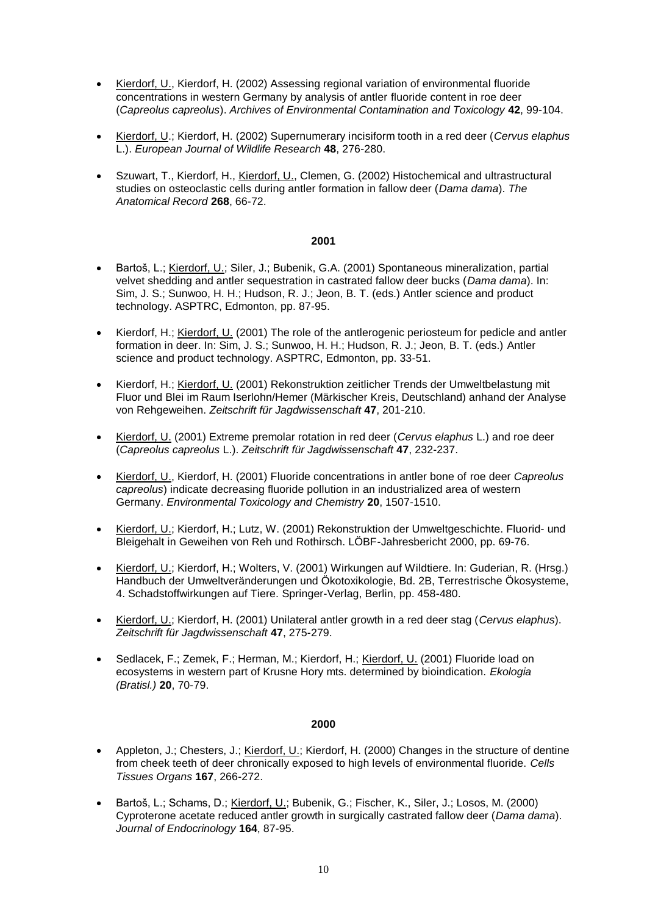- Kierdorf, U., Kierdorf, H. (2002) Assessing regional variation of environmental fluoride concentrations in western Germany by analysis of antler fluoride content in roe deer (*Capreolus capreolus*). *Archives of Environmental Contamination and Toxicology* **42**, 99-104.
- Kierdorf, U.; Kierdorf, H. (2002) Supernumerary incisiform tooth in a red deer (*Cervus elaphus*  L.). *European Journal of Wildlife Research* **48**, 276-280.
- Szuwart, T., Kierdorf, H., Kierdorf, U., Clemen, G. (2002) Histochemical and ultrastructural studies on osteoclastic cells during antler formation in fallow deer (*Dama dama*). *The Anatomical Record* **268**, 66-72.

- Bartoš, L.; Kierdorf, U.; Siler, J.; Bubenik, G.A. (2001) Spontaneous mineralization, partial velvet shedding and antler sequestration in castrated fallow deer bucks (*Dama dama*). In: Sim, J. S.; Sunwoo, H. H.; Hudson, R. J.; Jeon, B. T. (eds.) Antler science and product technology. ASPTRC, Edmonton, pp. 87-95.
- Kierdorf, H.; Kierdorf, U. (2001) The role of the antlerogenic periosteum for pedicle and antler formation in deer. In: Sim, J. S.; Sunwoo, H. H.; Hudson, R. J.; Jeon, B. T. (eds.) Antler science and product technology. ASPTRC, Edmonton, pp. 33-51.
- Kierdorf, H.; Kierdorf, U. (2001) Rekonstruktion zeitlicher Trends der Umweltbelastung mit Fluor und Blei im Raum Iserlohn/Hemer (Märkischer Kreis, Deutschland) anhand der Analyse von Rehgeweihen. *Zeitschrift für Jagdwissenschaft* **47**, 201-210.
- Kierdorf, U. (2001) Extreme premolar rotation in red deer (*Cervus elaphus* L.) and roe deer (*Capreolus capreolus* L.). *Zeitschrift für Jagdwissenschaft* **47**, 232-237.
- Kierdorf, U., Kierdorf, H. (2001) Fluoride concentrations in antler bone of roe deer *Capreolus capreolus*) indicate decreasing fluoride pollution in an industrialized area of western Germany. *Environmental Toxicology and Chemistry* **20**, 1507-1510.
- Kierdorf, U.; Kierdorf, H.; Lutz, W. (2001) Rekonstruktion der Umweltgeschichte. Fluorid- und Bleigehalt in Geweihen von Reh und Rothirsch. LÖBF-Jahresbericht 2000, pp. 69-76.
- Kierdorf, U.; Kierdorf, H.; Wolters, V. (2001) Wirkungen auf Wildtiere. In: Guderian, R. (Hrsg.) Handbuch der Umweltveränderungen und Ökotoxikologie, Bd. 2B, Terrestrische Ökosysteme, 4. Schadstoffwirkungen auf Tiere. Springer-Verlag, Berlin, pp. 458-480.
- Kierdorf, U.; Kierdorf, H. (2001) Unilateral antler growth in a red deer stag (*Cervus elaphus*). *Zeitschrift für Jagdwissenschaft* **47**, 275-279.
- Sedlacek, F.; Zemek, F.; Herman, M.; Kierdorf, H.; Kierdorf, U. (2001) Fluoride load on ecosystems in western part of Krusne Hory mts. determined by bioindication. *Ekologia (Bratisl.)* **20**, 70-79.

- Appleton, J.; Chesters, J.; Kierdorf, U.; Kierdorf, H. (2000) Changes in the structure of dentine from cheek teeth of deer chronically exposed to high levels of environmental fluoride. *Cells Tissues Organs* **167**, 266-272.
- Bartoš, L.; Schams, D.; Kierdorf, U.; Bubenik, G.; Fischer, K., Siler, J.; Losos, M. (2000) Cyproterone acetate reduced antler growth in surgically castrated fallow deer (*Dama dama*). *Journal of Endocrinology* **164**, 87-95.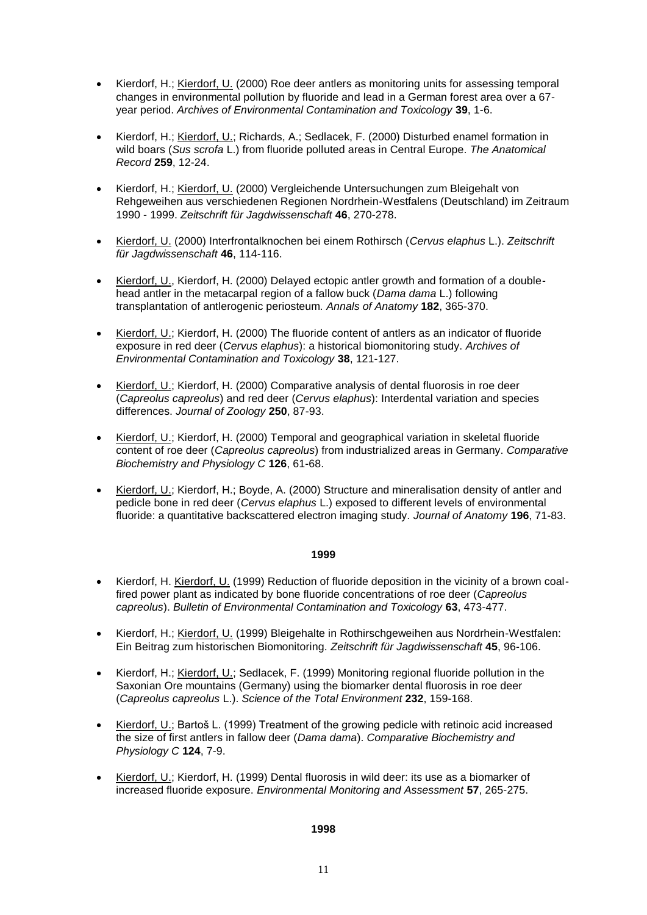- Kierdorf, H.; Kierdorf, U. (2000) Roe deer antlers as monitoring units for assessing temporal changes in environmental pollution by fluoride and lead in a German forest area over a 67 year period. *Archives of Environmental Contamination and Toxicology* **39**, 1-6.
- Kierdorf, H.; Kierdorf, U.; Richards, A.; Sedlacek, F. (2000) Disturbed enamel formation in wild boars (*Sus scrofa* L.) from fluoride polluted areas in Central Europe. *The Anatomical Record* **259**, 12-24.
- Kierdorf, H.; Kierdorf, U. (2000) Vergleichende Untersuchungen zum Bleigehalt von Rehgeweihen aus verschiedenen Regionen Nordrhein-Westfalens (Deutschland) im Zeitraum 1990 - 1999. *Zeitschrift für Jagdwissenschaft* **46**, 270-278.
- Kierdorf, U. (2000) Interfrontalknochen bei einem Rothirsch (*Cervus elaphus* L.). *Zeitschrift für Jagdwissenschaft* **46**, 114-116.
- Kierdorf, U., Kierdorf, H. (2000) Delayed ectopic antler growth and formation of a doublehead antler in the metacarpal region of a fallow buck (*Dama dama* L.) following transplantation of antlerogenic periosteum. *Annals of Anatomy* **182**, 365-370.
- Kierdorf, U.; Kierdorf, H. (2000) The fluoride content of antlers as an indicator of fluoride exposure in red deer (*Cervus elaphus*): a historical biomonitoring study. *Archives of Environmental Contamination and Toxicology* **38**, 121-127.
- Kierdorf, U.; Kierdorf, H. (2000) Comparative analysis of dental fluorosis in roe deer (*Capreolus capreolus*) and red deer (*Cervus elaphus*): Interdental variation and species differences. *Journal of Zoology* **250**, 87-93.
- Kierdorf, U.; Kierdorf, H. (2000) Temporal and geographical variation in skeletal fluoride content of roe deer (*Capreolus capreolus*) from industrialized areas in Germany. *Comparative Biochemistry and Physiology C* **126**, 61-68.
- Kierdorf, U.; Kierdorf, H.; Boyde, A. (2000) Structure and mineralisation density of antler and pedicle bone in red deer (*Cervus elaphus* L.) exposed to different levels of environmental fluoride: a quantitative backscattered electron imaging study. *Journal of Anatomy* **196**, 71-83.

- Kierdorf, H. Kierdorf, U. (1999) Reduction of fluoride deposition in the vicinity of a brown coalfired power plant as indicated by bone fluoride concentrations of roe deer (*Capreolus capreolus*). *Bulletin of Environmental Contamination and Toxicology* **63**, 473-477.
- Kierdorf, H.; Kierdorf, U. (1999) Bleigehalte in Rothirschgeweihen aus Nordrhein-Westfalen: Ein Beitrag zum historischen Biomonitoring. *Zeitschrift für Jagdwissenschaft* **45**, 96-106.
- Kierdorf, H.; Kierdorf, U.; Sedlacek, F. (1999) Monitoring regional fluoride pollution in the Saxonian Ore mountains (Germany) using the biomarker dental fluorosis in roe deer (*Capreolus capreolus* L.). *Science of the Total Environment* **232**, 159-168.
- Kierdorf, U.; Bartoš L. (1999) Treatment of the growing pedicle with retinoic acid increased the size of first antlers in fallow deer (*Dama dama*). *Comparative Biochemistry and Physiology C* **124**, 7-9.
- Kierdorf, U.; Kierdorf, H. (1999) Dental fluorosis in wild deer: its use as a biomarker of increased fluoride exposure. *Environmental Monitoring and Assessment* **57**, 265-275.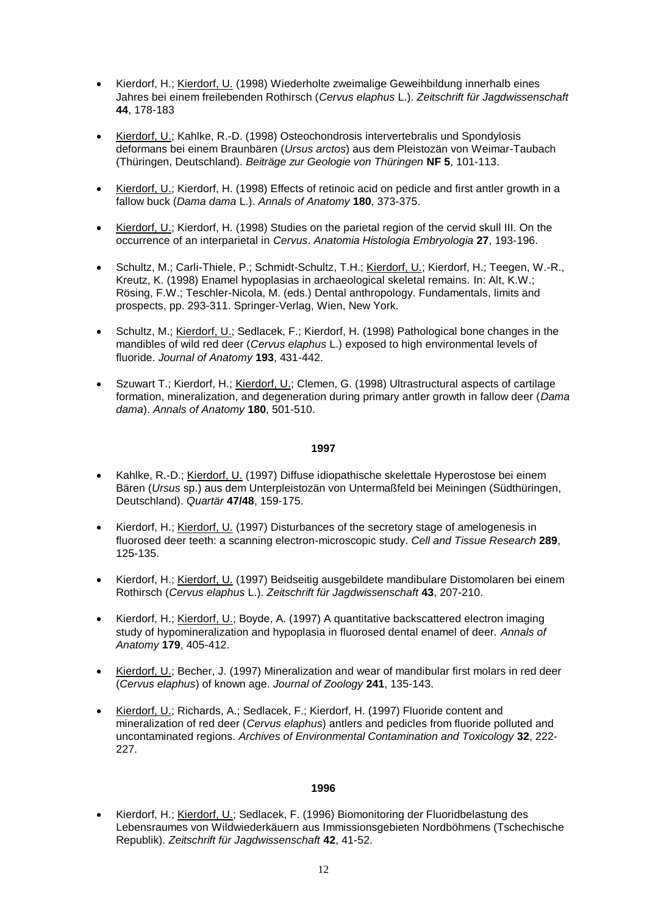- Kierdorf, H.; Kierdorf, U. (1998) Wiederholte zweimalige Geweihbildung innerhalb eines Jahres bei einem freilebenden Rothirsch (*Cervus elaphus* L.). *Zeitschrift für Jagdwissenschaft* **44**, 178-183
- Kierdorf, U.; Kahlke, R.-D. (1998) Osteochondrosis intervertebralis und Spondylosis deformans bei einem Braunbären (*Ursus arctos*) aus dem Pleistozän von Weimar-Taubach (Thüringen, Deutschland). *Beiträge zur Geologie von Thüringen* **NF 5**, 101-113.
- Kierdorf, U.; Kierdorf, H. (1998) Effects of retinoic acid on pedicle and first antler growth in a fallow buck (*Dama dama* L.). *Annals of Anatomy* **180**, 373-375.
- Kierdorf, U.; Kierdorf, H. (1998) Studies on the parietal region of the cervid skull III. On the occurrence of an interparietal in *Cervus*. *Anatomia Histologia Embryologia* **27**, 193-196.
- Schultz, M.; Carli-Thiele, P.; Schmidt-Schultz, T.H.; Kierdorf, U.; Kierdorf, H.; Teegen, W.-R., Kreutz, K. (1998) Enamel hypoplasias in archaeological skeletal remains. In: Alt, K.W.; Rösing, F.W.; Teschler-Nicola, M. (eds.) Dental anthropology. Fundamentals, limits and prospects, pp. 293-311. Springer-Verlag, Wien, New York.
- Schultz, M.; Kierdorf, U.; Sedlacek, F.; Kierdorf, H. (1998) Pathological bone changes in the mandibles of wild red deer (*Cervus elaphus* L.) exposed to high environmental levels of fluoride. *Journal of Anatomy* **193**, 431-442.
- Szuwart T.; Kierdorf, H.; Kierdorf, U.; Clemen, G. (1998) Ultrastructural aspects of cartilage formation, mineralization, and degeneration during primary antler growth in fallow deer (*Dama dama*). *Annals of Anatomy* **180**, 501-510.

- Kahlke, R.-D.; Kierdorf, U. (1997) Diffuse idiopathische skelettale Hyperostose bei einem Bären (*Ursus* sp.) aus dem Unterpleistozän von Untermaßfeld bei Meiningen (Südthüringen, Deutschland). *Quartär* **47/48**, 159-175.
- Kierdorf, H.; Kierdorf, U. (1997) Disturbances of the secretory stage of amelogenesis in fluorosed deer teeth: a scanning electron-microscopic study. *Cell and Tissue Research* **289**, 125-135.
- Kierdorf, H.; Kierdorf, U. (1997) Beidseitig ausgebildete mandibulare Distomolaren bei einem Rothirsch (*Cervus elaphus* L.). *Zeitschrift für Jagdwissenschaft* **43**, 207-210.
- Kierdorf, H.; Kierdorf, U.; Boyde, A. (1997) A quantitative backscattered electron imaging study of hypomineralization and hypoplasia in fluorosed dental enamel of deer. *Annals of Anatomy* **179**, 405-412.
- Kierdorf, U.; Becher, J. (1997) Mineralization and wear of mandibular first molars in red deer (*Cervus elaphus*) of known age. *Journal of Zoology* **241**, 135-143.
- Kierdorf, U.; Richards, A.; Sedlacek, F.; Kierdorf, H. (1997) Fluoride content and mineralization of red deer (*Cervus elaphus*) antlers and pedicles from fluoride polluted and uncontaminated regions. *Archives of Environmental Contamination and Toxicology* **32**, 222- 227.

# **1996**

 Kierdorf, H.; Kierdorf, U.; Sedlacek, F. (1996) Biomonitoring der Fluoridbelastung des Lebensraumes von Wildwiederkäuern aus Immissionsgebieten Nordböhmens (Tschechische Republik). *Zeitschrift für Jagdwissenschaft* **42**, 41-52.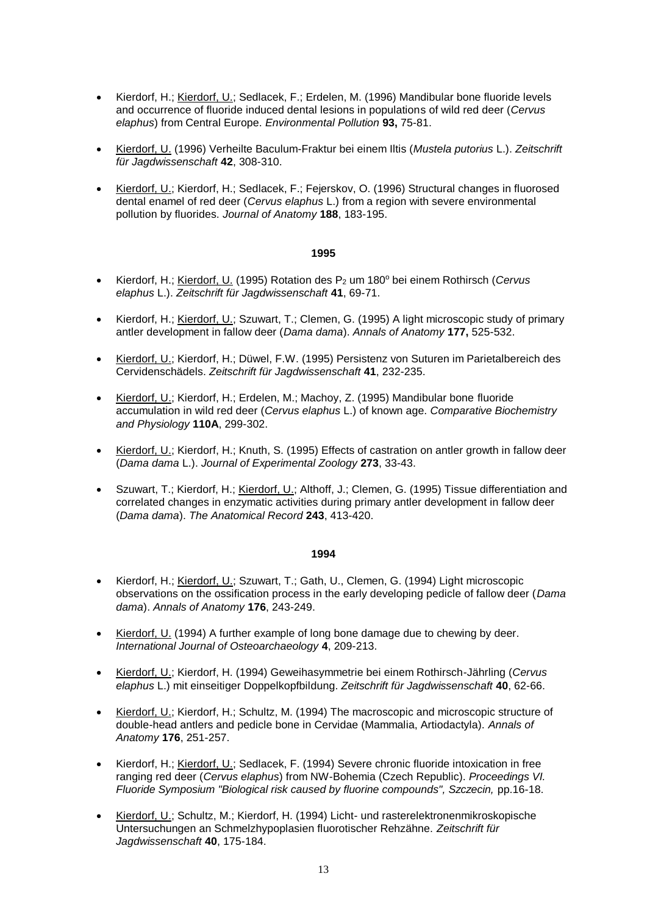- Kierdorf, H.; Kierdorf, U.; Sedlacek, F.; Erdelen, M. (1996) Mandibular bone fluoride levels and occurrence of fluoride induced dental lesions in populations of wild red deer (*Cervus elaphus*) from Central Europe. *Environmental Pollution* **93,** 75-81.
- Kierdorf, U. (1996) Verheilte Baculum-Fraktur bei einem Iltis (*Mustela putorius* L.). *Zeitschrift für Jagdwissenschaft* **42**, 308-310.
- Kierdorf, U.; Kierdorf, H.; Sedlacek, F.; Fejerskov, O. (1996) Structural changes in fluorosed dental enamel of red deer (*Cervus elaphus* L.) from a region with severe environmental pollution by fluorides. *Journal of Anatomy* **188**, 183-195.

- Kierdorf, H.; Kierdorf, U. (1995) Rotation des P<sub>2</sub> um 180<sup>°</sup> bei einem Rothirsch (Cervus *elaphus* L.). *Zeitschrift für Jagdwissenschaft* **41**, 69-71.
- Kierdorf, H.; Kierdorf, U.; Szuwart, T.; Clemen, G. (1995) A light microscopic study of primary antler development in fallow deer (*Dama dama*). *Annals of Anatomy* **177,** 525-532.
- Kierdorf, U.; Kierdorf, H.; Düwel, F.W. (1995) Persistenz von Suturen im Parietalbereich des Cervidenschädels. *Zeitschrift für Jagdwissenschaft* **41**, 232-235.
- Kierdorf, U.; Kierdorf, H.; Erdelen, M.; Machoy, Z. (1995) Mandibular bone fluoride accumulation in wild red deer (*Cervus elaphus* L.) of known age. *Comparative Biochemistry and Physiology* **110A**, 299-302.
- Kierdorf, U.; Kierdorf, H.; Knuth, S. (1995) Effects of castration on antler growth in fallow deer (*Dama dama* L.). *Journal of Experimental Zoology* **273**, 33-43.
- Szuwart, T.; Kierdorf, H.; Kierdorf, U.; Althoff, J.; Clemen, G. (1995) Tissue differentiation and correlated changes in enzymatic activities during primary antler development in fallow deer (*Dama dama*). *The Anatomical Record* **243**, 413-420.

- Kierdorf, H.; Kierdorf, U.; Szuwart, T.; Gath, U., Clemen, G. (1994) Light microscopic observations on the ossification process in the early developing pedicle of fallow deer (*Dama dama*). *Annals of Anatomy* **176**, 243-249.
- Kierdorf, U. (1994) A further example of long bone damage due to chewing by deer. *International Journal of Osteoarchaeology* **4**, 209-213.
- Kierdorf, U.; Kierdorf, H. (1994) Geweihasymmetrie bei einem Rothirsch-Jährling (*Cervus elaphus* L.) mit einseitiger Doppelkopfbildung. *Zeitschrift für Jagdwissenschaft* **40**, 62-66.
- Kierdorf, U.; Kierdorf, H.; Schultz, M. (1994) The macroscopic and microscopic structure of double-head antlers and pedicle bone in Cervidae (Mammalia, Artiodactyla). *Annals of Anatomy* **176**, 251-257.
- Kierdorf, H.; Kierdorf, U.; Sedlacek, F. (1994) Severe chronic fluoride intoxication in free ranging red deer (*Cervus elaphus*) from NW-Bohemia (Czech Republic). *Proceedings VI. Fluoride Symposium "Biological risk caused by fluorine compounds", Szczecin,* pp.16-18.
- Kierdorf, U.; Schultz, M.; Kierdorf, H. (1994) Licht- und rasterelektronenmikroskopische Untersuchungen an Schmelzhypoplasien fluorotischer Rehzähne. *Zeitschrift für Jagdwissenschaft* **40**, 175-184.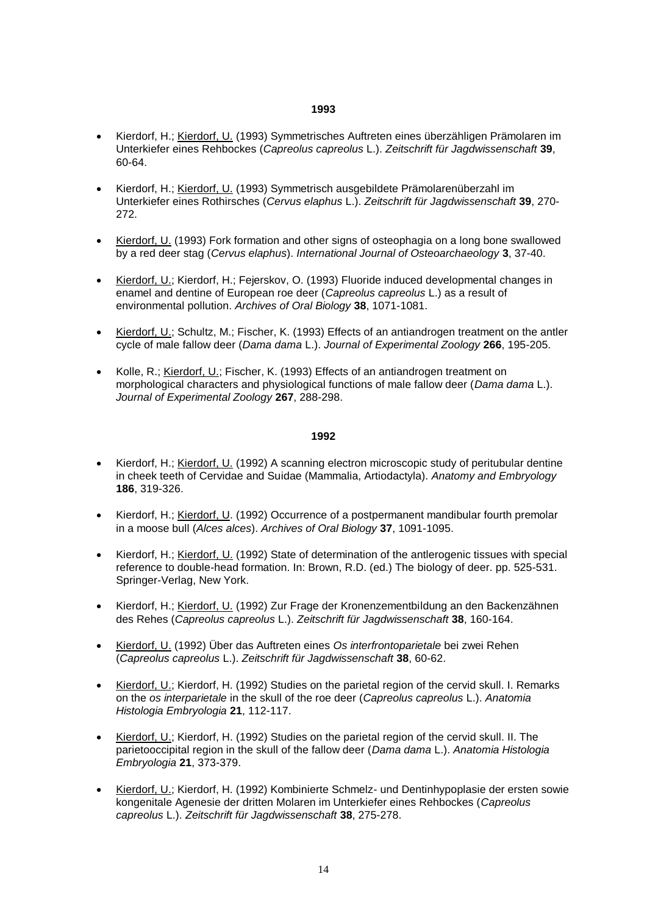- Kierdorf, H.; Kierdorf, U. (1993) Symmetrisches Auftreten eines überzähligen Prämolaren im Unterkiefer eines Rehbockes (*Capreolus capreolus* L.). *Zeitschrift für Jagdwissenschaft* **39**, 60-64.
- Kierdorf, H.; Kierdorf, U. (1993) Symmetrisch ausgebildete Prämolarenüberzahl im Unterkiefer eines Rothirsches (*Cervus elaphus* L.). *Zeitschrift für Jagdwissenschaft* **39**, 270- 272.
- Kierdorf, U. (1993) Fork formation and other signs of osteophagia on a long bone swallowed by a red deer stag (*Cervus elaphus*). *International Journal of Osteoarchaeology* **3**, 37-40.
- Kierdorf, U.; Kierdorf, H.; Fejerskov, O. (1993) Fluoride induced developmental changes in enamel and dentine of European roe deer (*Capreolus capreolus* L.) as a result of environmental pollution. *Archives of Oral Biology* **38**, 1071-1081.
- Kierdorf, U.; Schultz, M.; Fischer, K. (1993) Effects of an antiandrogen treatment on the antler cycle of male fallow deer (*Dama dama* L.). *Journal of Experimental Zoology* **266**, 195-205.
- Kolle, R.; Kierdorf, U.; Fischer, K. (1993) Effects of an antiandrogen treatment on morphological characters and physiological functions of male fallow deer (*Dama dama* L.). *Journal of Experimental Zoology* **267**, 288-298.

- Kierdorf, H.; Kierdorf, U. (1992) A scanning electron microscopic study of peritubular dentine in cheek teeth of Cervidae and Suidae (Mammalia, Artiodactyla). *Anatomy and Embryology* **186**, 319-326.
- Kierdorf, H.; Kierdorf, U. (1992) Occurrence of a postpermanent mandibular fourth premolar in a moose bull (*Alces alces*). *Archives of Oral Biology* **37**, 1091-1095.
- Kierdorf, H.; Kierdorf, U. (1992) State of determination of the antlerogenic tissues with special reference to double-head formation. In: Brown, R.D. (ed.) The biology of deer. pp. 525-531. Springer-Verlag, New York.
- Kierdorf, H.; Kierdorf, U. (1992) Zur Frage der Kronenzementbildung an den Backenzähnen des Rehes (*Capreolus capreolus* L.). *Zeitschrift für Jagdwissenschaft* **38**, 160-164.
- Kierdorf, U. (1992) Über das Auftreten eines *Os interfrontoparietale* bei zwei Rehen (*Capreolus capreolus* L.). *Zeitschrift für Jagdwissenschaft* **38**, 60-62.
- Kierdorf, U.; Kierdorf, H. (1992) Studies on the parietal region of the cervid skull. I. Remarks on the *os interparietale* in the skull of the roe deer (*Capreolus capreolus* L.). *Anatomia Histologia Embryologia* **21**, 112-117.
- Kierdorf, U.; Kierdorf, H. (1992) Studies on the parietal region of the cervid skull. II. The parietooccipital region in the skull of the fallow deer (*Dama dama* L.). *Anatomia Histologia Embryologia* **21**, 373-379.
- Kierdorf, U.; Kierdorf, H. (1992) Kombinierte Schmelz- und Dentinhypoplasie der ersten sowie kongenitale Agenesie der dritten Molaren im Unterkiefer eines Rehbockes (*Capreolus capreolus* L.). *Zeitschrift für Jagdwissenschaft* **38**, 275-278.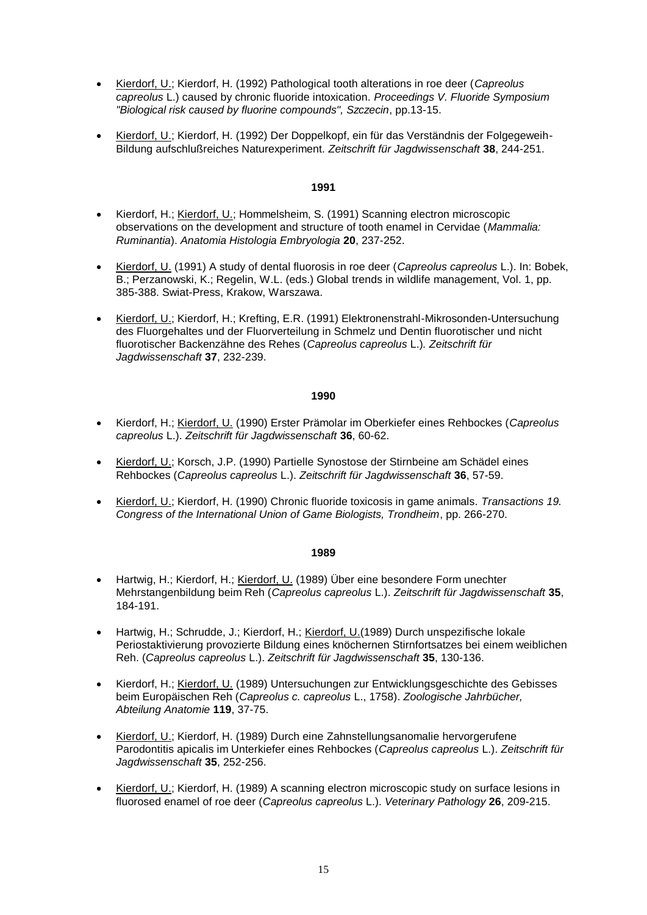- Kierdorf, U.; Kierdorf, H. (1992) Pathological tooth alterations in roe deer (*Capreolus capreolus* L.) caused by chronic fluoride intoxication. *Proceedings V. Fluoride Symposium "Biological risk caused by fluorine compounds", Szczecin*, pp.13-15.
- Kierdorf, U.; Kierdorf, H. (1992) Der Doppelkopf, ein für das Verständnis der Folgegeweih-Bildung aufschlußreiches Naturexperiment. *Zeitschrift für Jagdwissenschaft* **38**, 244-251.

- Kierdorf, H.; Kierdorf, U.; Hommelsheim, S. (1991) Scanning electron microscopic observations on the development and structure of tooth enamel in Cervidae (*Mammalia: Ruminantia*). *Anatomia Histologia Embryologia* **20**, 237-252.
- Kierdorf, U. (1991) A study of dental fluorosis in roe deer (*Capreolus capreolus* L.). In: Bobek, B.; Perzanowski, K.; Regelin, W.L. (eds.) Global trends in wildlife management, Vol. 1, pp. 385-388. Swiat-Press, Krakow, Warszawa.
- Kierdorf, U.; Kierdorf, H.; Krefting, E.R. (1991) Elektronenstrahl-Mikrosonden-Untersuchung des Fluorgehaltes und der Fluorverteilung in Schmelz und Dentin fluorotischer und nicht fluorotischer Backenzähne des Rehes (*Capreolus capreolus* L.)*. Zeitschrift für Jagdwissenschaft* **37**, 232-239.

#### **1990**

- Kierdorf, H.; Kierdorf, U. (1990) Erster Prämolar im Oberkiefer eines Rehbockes (*Capreolus capreolus* L.). *Zeitschrift für Jagdwissenschaft* **36**, 60-62.
- Kierdorf, U.; Korsch, J.P. (1990) Partielle Synostose der Stirnbeine am Schädel eines Rehbockes (*Capreolus capreolus* L.). *Zeitschrift für Jagdwissenschaft* **36**, 57-59.
- Kierdorf, U.; Kierdorf, H. (1990) Chronic fluoride toxicosis in game animals. *Transactions 19. Congress of the International Union of Game Biologists, Trondheim*, pp. 266-270.

- Hartwig, H.; Kierdorf, H.; Kierdorf, U. (1989) Über eine besondere Form unechter Mehrstangenbildung beim Reh (*Capreolus capreolus* L.). *Zeitschrift für Jagdwissenschaft* **35**, 184-191.
- Hartwig, H.; Schrudde, J.; Kierdorf, H.; Kierdorf, U.(1989) Durch unspezifische lokale Periostaktivierung provozierte Bildung eines knöchernen Stirnfortsatzes bei einem weiblichen Reh. (*Capreolus capreolus* L.). *Zeitschrift für Jagdwissenschaft* **35**, 130-136.
- Kierdorf, H.; Kierdorf, U. (1989) Untersuchungen zur Entwicklungsgeschichte des Gebisses beim Europäischen Reh (*Capreolus c. capreolus* L., 1758). *Zoologische Jahrbücher, Abteilung Anatomie* **119**, 37-75.
- Kierdorf, U.; Kierdorf, H. (1989) Durch eine Zahnstellungsanomalie hervorgerufene Parodontitis apicalis im Unterkiefer eines Rehbockes (*Capreolus capreolus* L.). *Zeitschrift für Jagdwissenschaft* **35**, 252-256.
- Kierdorf, U.; Kierdorf, H. (1989) A scanning electron microscopic study on surface lesions in fluorosed enamel of roe deer (*Capreolus capreolus* L.). *Veterinary Pathology* **26**, 209-215.